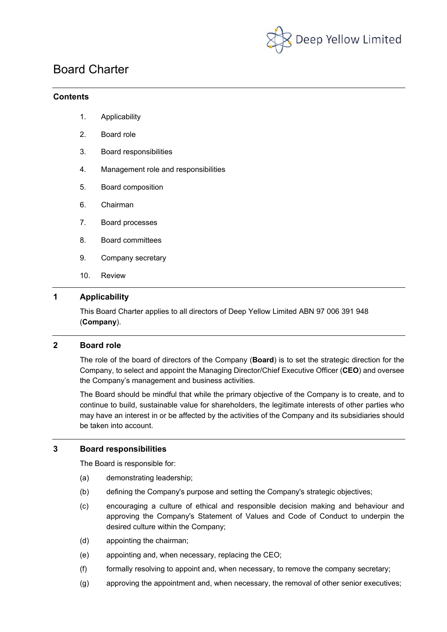

# Board Charter

# **Contents**

- 1. Applicability
- 2. Board role
- 3. Board responsibilities
- 4. Management role and responsibilities
- 5. Board composition
- 6. Chairman
- 7. Board processes
- 8. Board committees
- 9. Company secretary
- 10. Review

# **1 Applicability**

This Board Charter applies to all directors of Deep Yellow Limited ABN 97 006 391 948 (**Company**).

# **2 Board role**

The role of the board of directors of the Company (**Board**) is to set the strategic direction for the Company, to select and appoint the Managing Director/Chief Executive Officer (**CEO**) and oversee the Company's management and business activities.

The Board should be mindful that while the primary objective of the Company is to create, and to continue to build, sustainable value for shareholders, the legitimate interests of other parties who may have an interest in or be affected by the activities of the Company and its subsidiaries should be taken into account.

#### **3 Board responsibilities**

The Board is responsible for:

- (a) demonstrating leadership;
- (b) defining the Company's purpose and setting the Company's strategic objectives;
- (c) encouraging a culture of ethical and responsible decision making and behaviour and approving the Company's Statement of Values and Code of Conduct to underpin the desired culture within the Company;
- (d) appointing the chairman;
- (e) appointing and, when necessary, replacing the CEO;
- (f) formally resolving to appoint and, when necessary, to remove the company secretary;
- (g) approving the appointment and, when necessary, the removal of other senior executives;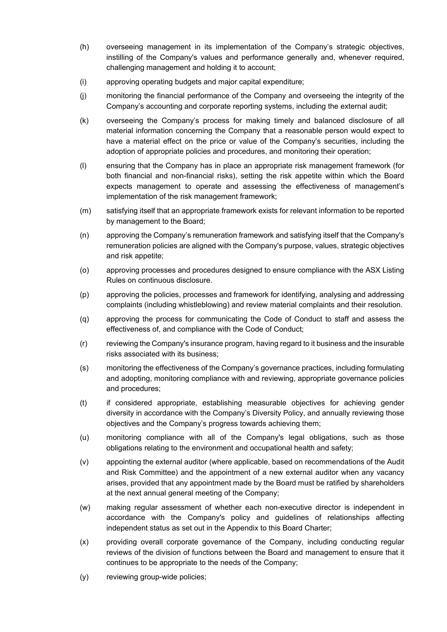- (h) overseeing management in its implementation of the Company's strategic objectives, instilling of the Company's values and performance generally and, whenever required, challenging management and holding it to account;
- (i) approving operating budgets and major capital expenditure;
- (j) monitoring the financial performance of the Company and overseeing the integrity of the Company's accounting and corporate reporting systems, including the external audit;
- (k) overseeing the Company's process for making timely and balanced disclosure of all material information concerning the Company that a reasonable person would expect to have a material effect on the price or value of the Company's securities, including the adoption of appropriate policies and procedures, and monitoring their operation;
- (l) ensuring that the Company has in place an appropriate risk management framework (for both financial and non-financial risks), setting the risk appetite within which the Board expects management to operate and assessing the effectiveness of management's implementation of the risk management framework;
- (m) satisfying itself that an appropriate framework exists for relevant information to be reported by management to the Board;
- (n) approving the Company's remuneration framework and satisfying itself that the Company's remuneration policies are aligned with the Company's purpose, values, strategic objectives and risk appetite;
- (o) approving processes and procedures designed to ensure compliance with the ASX Listing Rules on continuous disclosure.
- (p) approving the policies, processes and framework for identifying, analysing and addressing complaints (including whistleblowing) and review material complaints and their resolution.
- (q) approving the process for communicating the Code of Conduct to staff and assess the effectiveness of, and compliance with the Code of Conduct;
- (r) reviewing the Company's insurance program, having regard to it business and the insurable risks associated with its business;
- (s) monitoring the effectiveness of the Company's governance practices, including formulating and adopting, monitoring compliance with and reviewing, appropriate governance policies and procedures;
- (t) if considered appropriate, establishing measurable objectives for achieving gender diversity in accordance with the Company's Diversity Policy, and annually reviewing those objectives and the Company's progress towards achieving them;
- (u) monitoring compliance with all of the Company's legal obligations, such as those obligations relating to the environment and occupational health and safety;
- (v) appointing the external auditor (where applicable, based on recommendations of the Audit and Risk Committee) and the appointment of a new external auditor when any vacancy arises, provided that any appointment made by the Board must be ratified by shareholders at the next annual general meeting of the Company;
- (w) making regular assessment of whether each non-executive director is independent in accordance with the Company's policy and guidelines of relationships affecting independent status as set out in the Appendix to this Board Charter;
- (x) providing overall corporate governance of the Company, including conducting regular reviews of the division of functions between the Board and management to ensure that it continues to be appropriate to the needs of the Company;
- (y) reviewing group-wide policies;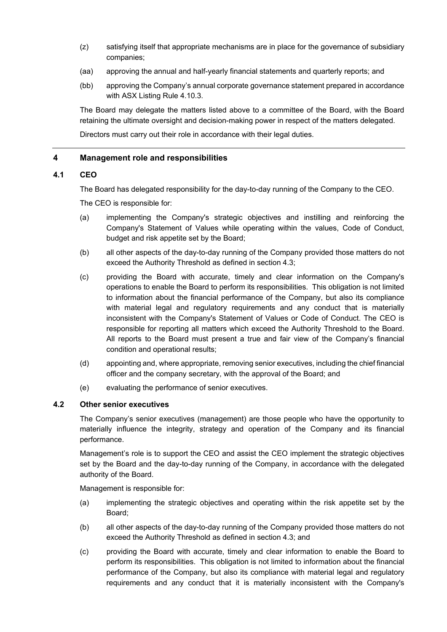- (z) satisfying itself that appropriate mechanisms are in place for the governance of subsidiary companies;
- (aa) approving the annual and half-yearly financial statements and quarterly reports; and
- (bb) approving the Company's annual corporate governance statement prepared in accordance with ASX Listing Rule 4.10.3.

The Board may delegate the matters listed above to a committee of the Board, with the Board retaining the ultimate oversight and decision-making power in respect of the matters delegated.

Directors must carry out their role in accordance with their legal duties.

# **4 Management role and responsibilities**

# **4.1 CEO**

The Board has delegated responsibility for the day-to-day running of the Company to the CEO.

The CEO is responsible for:

- (a) implementing the Company's strategic objectives and instilling and reinforcing the Company's Statement of Values while operating within the values, Code of Conduct, budget and risk appetite set by the Board;
- (b) all other aspects of the day-to-day running of the Company provided those matters do not exceed the Authority Threshold as defined in section 4.3;
- (c) providing the Board with accurate, timely and clear information on the Company's operations to enable the Board to perform its responsibilities. This obligation is not limited to information about the financial performance of the Company, but also its compliance with material legal and regulatory requirements and any conduct that is materially inconsistent with the Company's Statement of Values or Code of Conduct. The CEO is responsible for reporting all matters which exceed the Authority Threshold to the Board. All reports to the Board must present a true and fair view of the Company's financial condition and operational results;
- (d) appointing and, where appropriate, removing senior executives, including the chief financial officer and the company secretary, with the approval of the Board; and
- (e) evaluating the performance of senior executives.

#### **4.2 Other senior executives**

The Company's senior executives (management) are those people who have the opportunity to materially influence the integrity, strategy and operation of the Company and its financial performance.

Management's role is to support the CEO and assist the CEO implement the strategic objectives set by the Board and the day-to-day running of the Company, in accordance with the delegated authority of the Board.

Management is responsible for:

- (a) implementing the strategic objectives and operating within the risk appetite set by the Board;
- (b) all other aspects of the day-to-day running of the Company provided those matters do not exceed the Authority Threshold as defined in section 4.3; and
- (c) providing the Board with accurate, timely and clear information to enable the Board to perform its responsibilities. This obligation is not limited to information about the financial performance of the Company, but also its compliance with material legal and regulatory requirements and any conduct that it is materially inconsistent with the Company's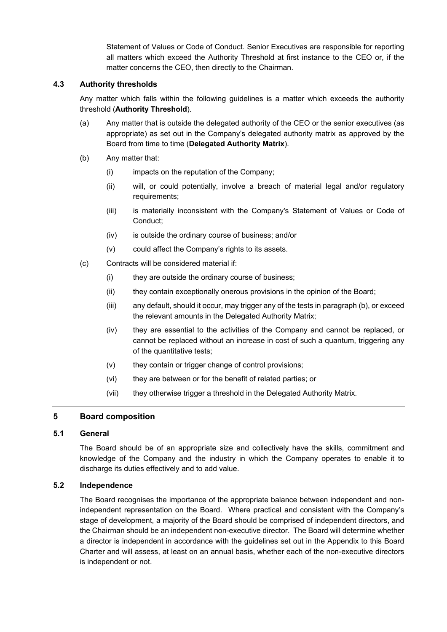Statement of Values or Code of Conduct. Senior Executives are responsible for reporting all matters which exceed the Authority Threshold at first instance to the CEO or, if the matter concerns the CEO, then directly to the Chairman.

# **4.3 Authority thresholds**

Any matter which falls within the following guidelines is a matter which exceeds the authority threshold (**Authority Threshold**).

- (a) Any matter that is outside the delegated authority of the CEO or the senior executives (as appropriate) as set out in the Company's delegated authority matrix as approved by the Board from time to time (**Delegated Authority Matrix**).
- (b) Any matter that:
	- (i) impacts on the reputation of the Company;
	- (ii) will, or could potentially, involve a breach of material legal and/or regulatory requirements;
	- (iii) is materially inconsistent with the Company's Statement of Values or Code of Conduct;
	- (iv) is outside the ordinary course of business; and/or
	- (v) could affect the Company's rights to its assets.
- (c) Contracts will be considered material if:
	- (i) they are outside the ordinary course of business;
	- (ii) they contain exceptionally onerous provisions in the opinion of the Board;
	- (iii) any default, should it occur, may trigger any of the tests in paragraph (b), or exceed the relevant amounts in the Delegated Authority Matrix;
	- (iv) they are essential to the activities of the Company and cannot be replaced, or cannot be replaced without an increase in cost of such a quantum, triggering any of the quantitative tests;
	- (v) they contain or trigger change of control provisions;
	- (vi) they are between or for the benefit of related parties; or
	- (vii) they otherwise trigger a threshold in the Delegated Authority Matrix.

# **5 Board composition**

# **5.1 General**

The Board should be of an appropriate size and collectively have the skills, commitment and knowledge of the Company and the industry in which the Company operates to enable it to discharge its duties effectively and to add value.

#### **5.2 Independence**

The Board recognises the importance of the appropriate balance between independent and nonindependent representation on the Board. Where practical and consistent with the Company's stage of development, a majority of the Board should be comprised of independent directors, and the Chairman should be an independent non-executive director. The Board will determine whether a director is independent in accordance with the guidelines set out in the Appendix to this Board Charter and will assess, at least on an annual basis, whether each of the non-executive directors is independent or not.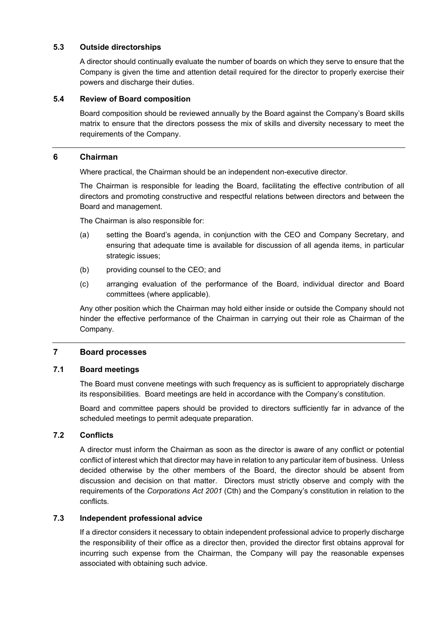# **5.3 Outside directorships**

A director should continually evaluate the number of boards on which they serve to ensure that the Company is given the time and attention detail required for the director to properly exercise their powers and discharge their duties.

# **5.4 Review of Board composition**

Board composition should be reviewed annually by the Board against the Company's Board skills matrix to ensure that the directors possess the mix of skills and diversity necessary to meet the requirements of the Company.

#### **6 Chairman**

Where practical, the Chairman should be an independent non-executive director.

The Chairman is responsible for leading the Board, facilitating the effective contribution of all directors and promoting constructive and respectful relations between directors and between the Board and management.

The Chairman is also responsible for:

- (a) setting the Board's agenda, in conjunction with the CEO and Company Secretary, and ensuring that adequate time is available for discussion of all agenda items, in particular strategic issues;
- (b) providing counsel to the CEO; and
- (c) arranging evaluation of the performance of the Board, individual director and Board committees (where applicable).

Any other position which the Chairman may hold either inside or outside the Company should not hinder the effective performance of the Chairman in carrying out their role as Chairman of the Company.

#### **7 Board processes**

#### **7.1 Board meetings**

The Board must convene meetings with such frequency as is sufficient to appropriately discharge its responsibilities. Board meetings are held in accordance with the Company's constitution.

Board and committee papers should be provided to directors sufficiently far in advance of the scheduled meetings to permit adequate preparation.

#### **7.2 Conflicts**

A director must inform the Chairman as soon as the director is aware of any conflict or potential conflict of interest which that director may have in relation to any particular item of business. Unless decided otherwise by the other members of the Board, the director should be absent from discussion and decision on that matter. Directors must strictly observe and comply with the requirements of the *Corporations Act 2001* (Cth) and the Company's constitution in relation to the conflicts.

#### **7.3 Independent professional advice**

If a director considers it necessary to obtain independent professional advice to properly discharge the responsibility of their office as a director then, provided the director first obtains approval for incurring such expense from the Chairman, the Company will pay the reasonable expenses associated with obtaining such advice.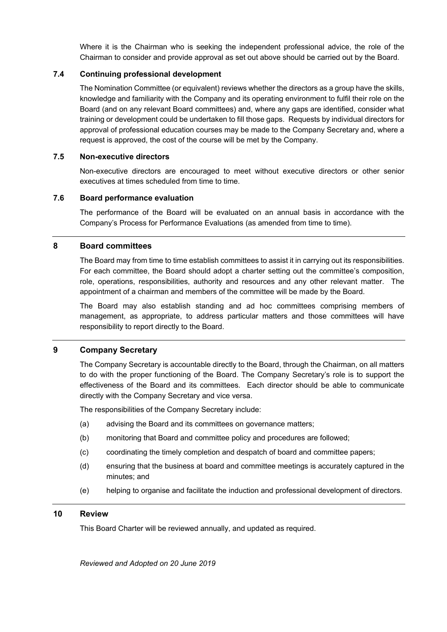Where it is the Chairman who is seeking the independent professional advice, the role of the Chairman to consider and provide approval as set out above should be carried out by the Board.

### **7.4 Continuing professional development**

The Nomination Committee (or equivalent) reviews whether the directors as a group have the skills, knowledge and familiarity with the Company and its operating environment to fulfil their role on the Board (and on any relevant Board committees) and, where any gaps are identified, consider what training or development could be undertaken to fill those gaps. Requests by individual directors for approval of professional education courses may be made to the Company Secretary and, where a request is approved, the cost of the course will be met by the Company.

#### **7.5 Non-executive directors**

Non-executive directors are encouraged to meet without executive directors or other senior executives at times scheduled from time to time.

#### **7.6 Board performance evaluation**

The performance of the Board will be evaluated on an annual basis in accordance with the Company's Process for Performance Evaluations (as amended from time to time).

# **8 Board committees**

The Board may from time to time establish committees to assist it in carrying out its responsibilities. For each committee, the Board should adopt a charter setting out the committee's composition, role, operations, responsibilities, authority and resources and any other relevant matter. The appointment of a chairman and members of the committee will be made by the Board.

The Board may also establish standing and ad hoc committees comprising members of management, as appropriate, to address particular matters and those committees will have responsibility to report directly to the Board.

# **9 Company Secretary**

The Company Secretary is accountable directly to the Board, through the Chairman, on all matters to do with the proper functioning of the Board. The Company Secretary's role is to support the effectiveness of the Board and its committees. Each director should be able to communicate directly with the Company Secretary and vice versa.

The responsibilities of the Company Secretary include:

- (a) advising the Board and its committees on governance matters;
- (b) monitoring that Board and committee policy and procedures are followed;
- (c) coordinating the timely completion and despatch of board and committee papers;
- (d) ensuring that the business at board and committee meetings is accurately captured in the minutes; and
- (e) helping to organise and facilitate the induction and professional development of directors.

# **10 Review**

This Board Charter will be reviewed annually, and updated as required.

*Reviewed and Adopted on 20 June 2019*